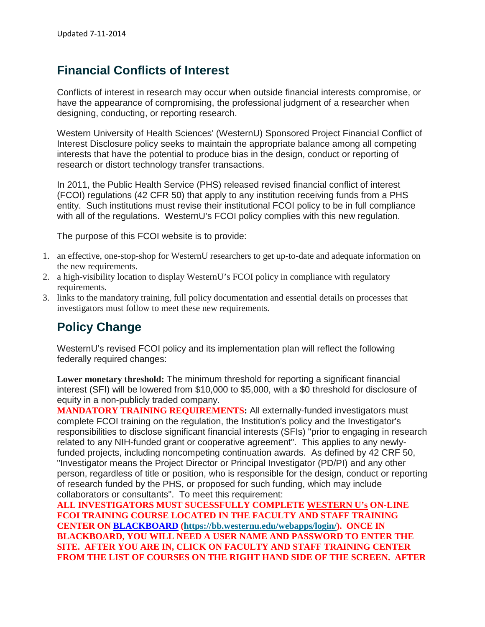# **Financial Conflicts of Interest**

Conflicts of interest in research may occur when outside financial interests compromise, or have the appearance of compromising, the professional judgment of a researcher when designing, conducting, or reporting research.

Western University of Health Sciences' (WesternU) Sponsored Project Financial Conflict of Interest Disclosure policy seeks to maintain the appropriate balance among all competing interests that have the potential to produce bias in the design, conduct or reporting of research or distort technology transfer transactions.

In 2011, the Public Health Service (PHS) released revised financial conflict of interest (FCOI) regulations (42 CFR 50) that apply to any institution receiving funds from a PHS entity. Such institutions must revise their institutional FCOI policy to be in full compliance with all of the regulations. WesternU's FCOI policy complies with this new regulation.

The purpose of this FCOI website is to provide:

- 1. an effective, one-stop-shop for WesternU researchers to get up-to-date and adequate information on the new requirements.
- 2. a high-visibility location to display WesternU's FCOI policy in compliance with regulatory requirements.
- 3. links to the mandatory training, full policy documentation and essential details on processes that investigators must follow to meet these new requirements.

## **Policy Change**

WesternU's revised FCOI policy and its implementation plan will reflect the following federally required changes:

**Lower monetary threshold:** The minimum threshold for reporting a significant financial interest (SFI) will be lowered from \$10,000 to \$5,000, with a \$0 threshold for disclosure of equity in a non-publicly traded company.

**MANDATORY TRAINING REQUIREMENTS:** All externally-funded investigators must complete FCOI training on the regulation, the Institution's policy and the Investigator's responsibilities to disclose significant financial interests (SFIs) "prior to engaging in research related to any NIH-funded grant or cooperative agreement". This applies to any newlyfunded projects, including noncompeting continuation awards. As defined by 42 CRF 50, "Investigator means the Project Director or Principal Investigator (PD/PI) and any other person, regardless of title or position, who is responsible for the design, conduct or reporting of research funded by the PHS, or proposed for such funding, which may include collaborators or consultants". To meet this requirement:

**ALL INVESTIGATORS MUST SUCESSFULLY COMPLETE WESTERN U's ON-LINE FCOI TRAINING COURSE LOCATED IN THE FACULTY AND STAFF TRAINING CENTER ON [BLACKBOARD](https://bb.westernu.edu/webapps/login/) [\(https://bb.westernu.edu/webapps/login/\)](https://bb.westernu.edu/webapps/login/). ONCE IN BLACKBOARD, YOU WILL NEED A USER NAME AND PASSWORD TO ENTER THE SITE. AFTER YOU ARE IN, CLICK ON FACULTY AND STAFF TRAINING CENTER FROM THE LIST OF COURSES ON THE RIGHT HAND SIDE OF THE SCREEN. AFTER**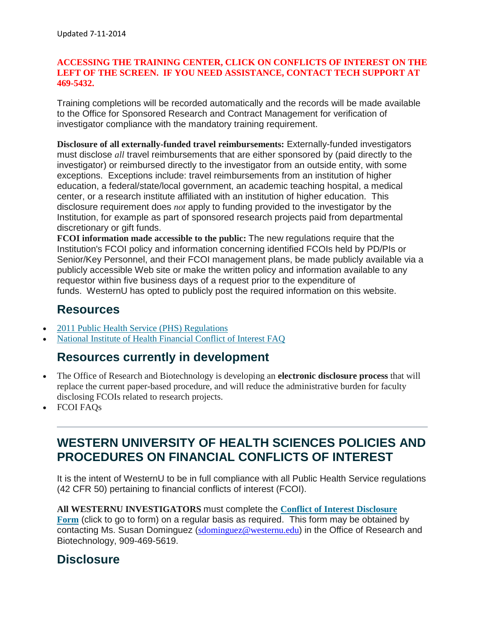#### **ACCESSING THE TRAINING CENTER, CLICK ON CONFLICTS OF INTEREST ON THE LEFT OF THE SCREEN. IF YOU NEED ASSISTANCE, CONTACT TECH SUPPORT AT 469-5432.**

Training completions will be recorded automatically and the records will be made available to the Office for Sponsored Research and Contract Management for verification of investigator compliance with the mandatory training requirement.

**Disclosure of all externally-funded travel reimbursements:** Externally-funded investigators must disclose *all* travel reimbursements that are either sponsored by (paid directly to the investigator) or reimbursed directly to the investigator from an outside entity, with some exceptions. Exceptions include: travel reimbursements from an institution of higher education, a federal/state/local government, an academic teaching hospital, a medical center, or a research institute affiliated with an institution of higher education. This disclosure requirement does *not* apply to funding provided to the investigator by the Institution, for example as part of sponsored research projects paid from departmental discretionary or gift funds.

**FCOI information made accessible to the public:** The new regulations require that the Institution's FCOI policy and information concerning identified FCOIs held by PD/PIs or Senior/Key Personnel, and their FCOI management plans, be made publicly available via a publicly accessible Web site or make the written policy and information available to any requestor within five business days of a request prior to the expenditure of funds. WesternU has opted to publicly post the required information on this website.

## **Resources**

- 2011 Public Health Service (PHS) [Regulations](http://osp.mit.edu/sites/osp/files/u72/coi_changes_2011.pdf)
- National Institute of Health [Financial](http://grants.nih.gov/grants/policy/coi/coi_faqs.htm) Conflict of Interest FAQ

#### **Resources currently in development**

- The Office of Research and Biotechnology is developing an **electronic disclosure process** that will replace the current paper-based procedure, and will reduce the administrative burden for faculty disclosing FCOIs related to research projects.
- FCOI FAQs

## **WESTERN UNIVERSITY OF HEALTH SCIENCES POLICIES AND PROCEDURES ON FINANCIAL CONFLICTS OF INTEREST**

It is the intent of WesternU to be in full compliance with all Public Health Service regulations (42 CFR 50) pertaining to financial conflicts of interest (FCOI).

**All WESTERNU INVESTIGATORS** must complete the **Conflict of Interest [Disclosure](http://stagewp.westernu.edu/bin/research/conflict_of_interest_form.doc) [Form](http://stagewp.westernu.edu/bin/research/conflict_of_interest_form.doc)** (click to go to form) on a regular basis as required. This form may be obtained by contacting Ms. Susan Dominguez ([sdominguez@westernu.edu](mailto:sdominguez@westernu.edu)) in the Office of Research and Biotechnology, 909-469-5619.

### **Disclosure**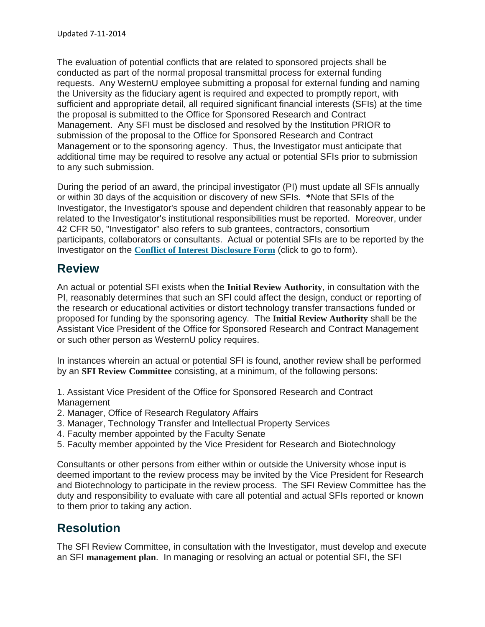The evaluation of potential conflicts that are related to sponsored projects shall be conducted as part of the normal proposal transmittal process for external funding requests. Any WesternU employee submitting a proposal for external funding and naming the University as the fiduciary agent is required and expected to promptly report, with sufficient and appropriate detail, all required significant financial interests (SFIs) at the time the proposal is submitted to the Office for Sponsored Research and Contract Management. Any SFI must be disclosed and resolved by the Institution PRIOR to submission of the proposal to the Office for Sponsored Research and Contract Management or to the sponsoring agency. Thus, the Investigator must anticipate that additional time may be required to resolve any actual or potential SFIs prior to submission to any such submission.

During the period of an award, the principal investigator (PI) must update all SFIs annually or within 30 days of the acquisition or discovery of new SFIs. **\***Note that SFIs of the Investigator, the Investigator's spouse and dependent children that reasonably appear to be related to the Investigator's institutional responsibilities must be reported. Moreover, under 42 CFR 50, "Investigator" also refers to sub grantees, contractors, consortium participants, collaborators or consultants. Actual or potential SFIs are to be reported by the Investigator on the **Conflict of Interest [Disclosure](http://stagewp.westernu.edu/bin/research/conflict_of_interest_form.doc) Form** (click to go to form).

## **Review**

An actual or potential SFI exists when the **Initial Review Authority**, in consultation with the PI, reasonably determines that such an SFI could affect the design, conduct or reporting of the research or educational activities or distort technology transfer transactions funded or proposed for funding by the sponsoring agency. The **Initial Review Authority** shall be the Assistant Vice President of the Office for Sponsored Research and Contract Management or such other person as WesternU policy requires.

In instances wherein an actual or potential SFI is found, another review shall be performed by an **SFI Review Committee** consisting, at a minimum, of the following persons:

1. Assistant Vice President of the Office for Sponsored Research and Contract Management

- 2. Manager, Office of Research Regulatory Affairs
- 3. Manager, Technology Transfer and Intellectual Property Services
- 4. Faculty member appointed by the Faculty Senate
- 5. Faculty member appointed by the Vice President for Research and Biotechnology

Consultants or other persons from either within or outside the University whose input is deemed important to the review process may be invited by the Vice President for Research and Biotechnology to participate in the review process. The SFI Review Committee has the duty and responsibility to evaluate with care all potential and actual SFIs reported or known to them prior to taking any action.

# **Resolution**

The SFI Review Committee, in consultation with the Investigator, must develop and execute an SFI **management plan**. In managing or resolving an actual or potential SFI, the SFI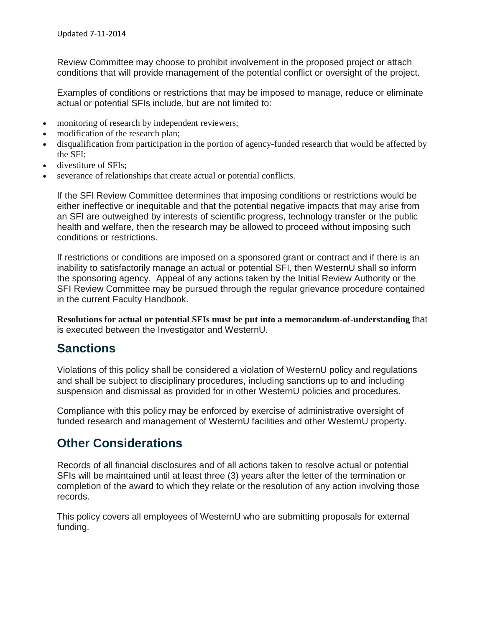Review Committee may choose to prohibit involvement in the proposed project or attach conditions that will provide management of the potential conflict or oversight of the project.

Examples of conditions or restrictions that may be imposed to manage, reduce or eliminate actual or potential SFIs include, but are not limited to:

- monitoring of research by independent reviewers;
- modification of the research plan;
- disqualification from participation in the portion of agency-funded research that would be affected by the SFI;
- divestiture of SFIs:
- severance of relationships that create actual or potential conflicts.

If the SFI Review Committee determines that imposing conditions or restrictions would be either ineffective or inequitable and that the potential negative impacts that may arise from an SFI are outweighed by interests of scientific progress, technology transfer or the public health and welfare, then the research may be allowed to proceed without imposing such conditions or restrictions.

If restrictions or conditions are imposed on a sponsored grant or contract and if there is an inability to satisfactorily manage an actual or potential SFI, then WesternU shall so inform the sponsoring agency. Appeal of any actions taken by the Initial Review Authority or the SFI Review Committee may be pursued through the regular grievance procedure contained in the current Faculty Handbook.

**Resolutions for actual or potential SFIs must be put into a memorandum-of-understanding** that is executed between the Investigator and WesternU.

## **Sanctions**

Violations of this policy shall be considered a violation of WesternU policy and regulations and shall be subject to disciplinary procedures, including sanctions up to and including suspension and dismissal as provided for in other WesternU policies and procedures.

Compliance with this policy may be enforced by exercise of administrative oversight of funded research and management of WesternU facilities and other WesternU property.

## **Other Considerations**

Records of all financial disclosures and of all actions taken to resolve actual or potential SFIs will be maintained until at least three (3) years after the letter of the termination or completion of the award to which they relate or the resolution of any action involving those records.

This policy covers all employees of WesternU who are submitting proposals for external funding.